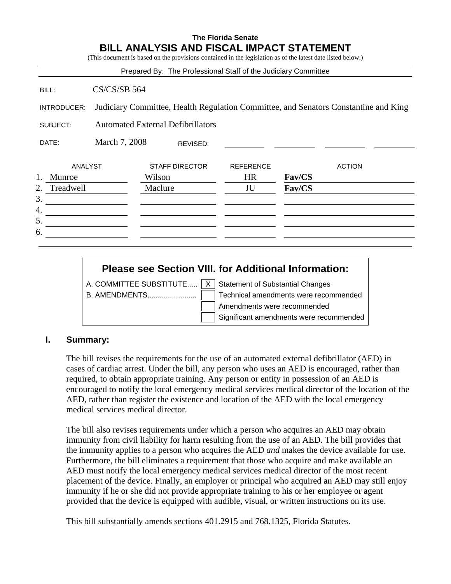# **The Florida Senate BILL ANALYSIS AND FISCAL IMPACT STATEMENT**

(This document is based on the provisions contained in the legislation as of the latest date listed below.)

| Prepared By: The Professional Staff of the Judiciary Committee |                                                                                     |                       |                  |        |               |
|----------------------------------------------------------------|-------------------------------------------------------------------------------------|-----------------------|------------------|--------|---------------|
| BILL:                                                          | <b>CS/CS/SB 564</b>                                                                 |                       |                  |        |               |
| INTRODUCER:                                                    | Judiciary Committee, Health Regulation Committee, and Senators Constantine and King |                       |                  |        |               |
| SUBJECT:                                                       | <b>Automated External Defibrillators</b>                                            |                       |                  |        |               |
| DATE:                                                          | March 7, 2008                                                                       | REVISED:              |                  |        |               |
| <b>ANALYST</b>                                                 |                                                                                     | <b>STAFF DIRECTOR</b> | <b>REFERENCE</b> |        | <b>ACTION</b> |
| 1.<br>Munroe                                                   |                                                                                     | Wilson                | <b>HR</b>        | Fav/CS |               |
| 2.<br>Treadwell                                                |                                                                                     | Maclure               | JU               | Fav/CS |               |
| 3.                                                             |                                                                                     |                       |                  |        |               |
| 4.                                                             |                                                                                     |                       |                  |        |               |
| 5.                                                             |                                                                                     |                       |                  |        |               |
| 6.                                                             |                                                                                     |                       |                  |        |               |
|                                                                |                                                                                     |                       |                  |        |               |

# **Please see Section VIII. for Additional Information:**

A. COMMITTEE SUBSTITUTE.....  $\overline{X}$  Statement of Substantial Changes

B. AMENDMENTS........................ Technical amendments were recommended Amendments were recommended Significant amendments were recommended

### **I. Summary:**

The bill revises the requirements for the use of an automated external defibrillator (AED) in cases of cardiac arrest. Under the bill, any person who uses an AED is encouraged, rather than required, to obtain appropriate training. Any person or entity in possession of an AED is encouraged to notify the local emergency medical services medical director of the location of the AED, rather than register the existence and location of the AED with the local emergency medical services medical director.

The bill also revises requirements under which a person who acquires an AED may obtain immunity from civil liability for harm resulting from the use of an AED. The bill provides that the immunity applies to a person who acquires the AED *and* makes the device available for use. Furthermore, the bill eliminates a requirement that those who acquire and make available an AED must notify the local emergency medical services medical director of the most recent placement of the device. Finally, an employer or principal who acquired an AED may still enjoy immunity if he or she did not provide appropriate training to his or her employee or agent provided that the device is equipped with audible, visual, or written instructions on its use.

This bill substantially amends sections 401.2915 and 768.1325, Florida Statutes.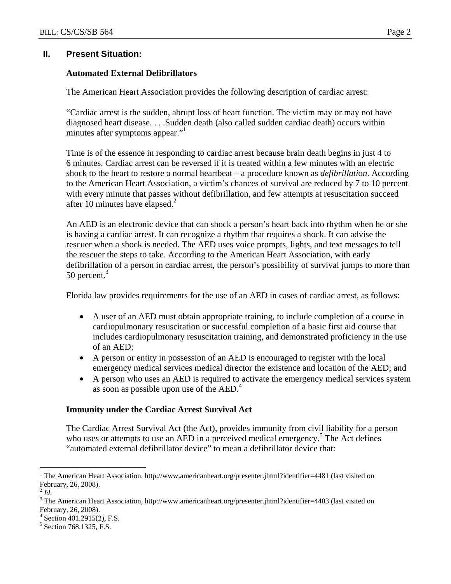### **II. Present Situation:**

### **Automated External Defibrillators**

The American Heart Association provides the following description of cardiac arrest:

"Cardiac arrest is the sudden, abrupt loss of heart function. The victim may or may not have diagnosed heart disease. . . .Sudden death (also called sudden cardiac death) occurs within minutes after symptoms appear."

Time is of the essence in responding to cardiac arrest because brain death begins in just 4 to 6 minutes. Cardiac arrest can be reversed if it is treated within a few minutes with an electric shock to the heart to restore a normal heartbeat – a procedure known as *defibrillation*. According to the American Heart Association, a victim's chances of survival are reduced by 7 to 10 percent with every minute that passes without defibrillation, and few attempts at resuscitation succeed after 10 minutes have elapsed. $<sup>2</sup>$ </sup>

An AED is an electronic device that can shock a person's heart back into rhythm when he or she is having a cardiac arrest. It can recognize a rhythm that requires a shock. It can advise the rescuer when a shock is needed. The AED uses voice prompts, lights, and text messages to tell the rescuer the steps to take. According to the American Heart Association, with early defibrillation of a person in cardiac arrest, the person's possibility of survival jumps to more than 50 percent.<sup>3</sup>

Florida law provides requirements for the use of an AED in cases of cardiac arrest, as follows:

- A user of an AED must obtain appropriate training, to include completion of a course in cardiopulmonary resuscitation or successful completion of a basic first aid course that includes cardiopulmonary resuscitation training, and demonstrated proficiency in the use of an AED;
- A person or entity in possession of an AED is encouraged to register with the local emergency medical services medical director the existence and location of the AED; and
- A person who uses an AED is required to activate the emergency medical services system as soon as possible upon use of the AED.<sup>4</sup>

### **Immunity under the Cardiac Arrest Survival Act**

The Cardiac Arrest Survival Act (the Act), provides immunity from civil liability for a person who uses or attempts to use an AED in a perceived medical emergency.<sup>5</sup> The Act defines "automated external defibrillator device" to mean a defibrillator device that:

 $\overline{a}$ 

<sup>&</sup>lt;sup>1</sup> The American Heart Association, http://www.americanheart.org/presenter.jhtml?identifier=4481 (last visited on February, 26, 2008).

 $^{2}$  *Id.* 

<sup>&</sup>lt;sup>3</sup>The American Heart Association, http://www.americanheart.org/presenter.jhtml?identifier=4483 (last visited on February, 26, 2008).

<sup>4</sup> Section 401.2915(2), F.S.

<sup>&</sup>lt;sup>5</sup> Section 768.1325, F.S.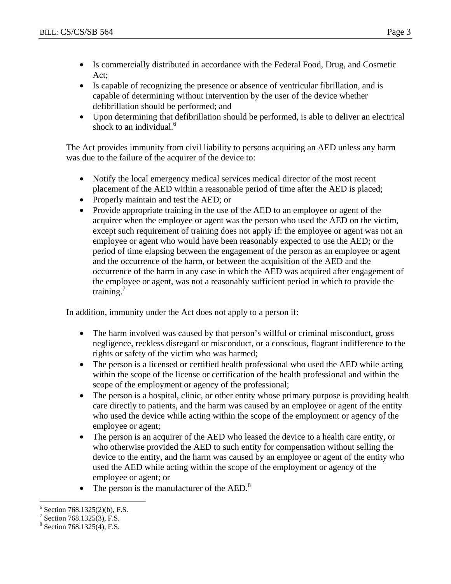- Is commercially distributed in accordance with the Federal Food, Drug, and Cosmetic Act;
- Is capable of recognizing the presence or absence of ventricular fibrillation, and is capable of determining without intervention by the user of the device whether defibrillation should be performed; and
- Upon determining that defibrillation should be performed, is able to deliver an electrical shock to an individual. $<sup>6</sup>$ </sup>

The Act provides immunity from civil liability to persons acquiring an AED unless any harm was due to the failure of the acquirer of the device to:

- Notify the local emergency medical services medical director of the most recent placement of the AED within a reasonable period of time after the AED is placed;
- Properly maintain and test the AED; or
- Provide appropriate training in the use of the AED to an employee or agent of the acquirer when the employee or agent was the person who used the AED on the victim, except such requirement of training does not apply if: the employee or agent was not an employee or agent who would have been reasonably expected to use the AED; or the period of time elapsing between the engagement of the person as an employee or agent and the occurrence of the harm, or between the acquisition of the AED and the occurrence of the harm in any case in which the AED was acquired after engagement of the employee or agent, was not a reasonably sufficient period in which to provide the training. $<sup>7</sup>$ </sup>

In addition, immunity under the Act does not apply to a person if:

- The harm involved was caused by that person's willful or criminal misconduct, gross negligence, reckless disregard or misconduct, or a conscious, flagrant indifference to the rights or safety of the victim who was harmed;
- The person is a licensed or certified health professional who used the AED while acting within the scope of the license or certification of the health professional and within the scope of the employment or agency of the professional;
- The person is a hospital, clinic, or other entity whose primary purpose is providing health care directly to patients, and the harm was caused by an employee or agent of the entity who used the device while acting within the scope of the employment or agency of the employee or agent;
- The person is an acquirer of the AED who leased the device to a health care entity, or who otherwise provided the AED to such entity for compensation without selling the device to the entity, and the harm was caused by an employee or agent of the entity who used the AED while acting within the scope of the employment or agency of the employee or agent; or
- The person is the manufacturer of the AED.<sup>8</sup>

 $\overline{a}$  $6$  Section 768.1325(2)(b), F.S.

<sup>7</sup> Section 768.1325(3), F.S.

<sup>8</sup> Section 768.1325(4), F.S.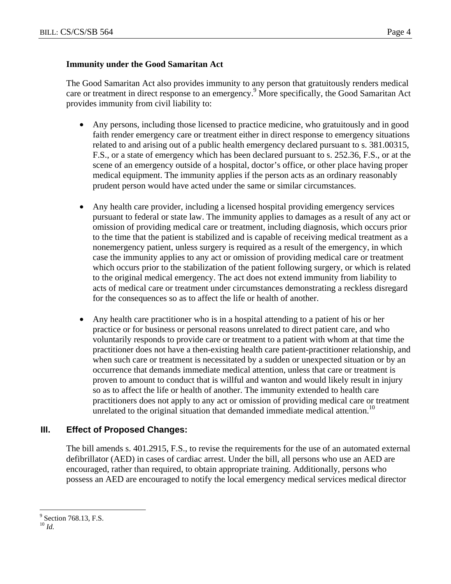### **Immunity under the Good Samaritan Act**

The Good Samaritan Act also provides immunity to any person that gratuitously renders medical care or treatment in direct response to an emergency.<sup>9</sup> More specifically, the Good Samaritan Act provides immunity from civil liability to:

- Any persons, including those licensed to practice medicine, who gratuitously and in good faith render emergency care or treatment either in direct response to emergency situations related to and arising out of a public health emergency declared pursuant to s. 381.00315, F.S., or a state of emergency which has been declared pursuant to s. 252.36, F.S., or at the scene of an emergency outside of a hospital, doctor's office, or other place having proper medical equipment. The immunity applies if the person acts as an ordinary reasonably prudent person would have acted under the same or similar circumstances.
- Any health care provider, including a licensed hospital providing emergency services pursuant to federal or state law. The immunity applies to damages as a result of any act or omission of providing medical care or treatment, including diagnosis, which occurs prior to the time that the patient is stabilized and is capable of receiving medical treatment as a nonemergency patient, unless surgery is required as a result of the emergency, in which case the immunity applies to any act or omission of providing medical care or treatment which occurs prior to the stabilization of the patient following surgery, or which is related to the original medical emergency. The act does not extend immunity from liability to acts of medical care or treatment under circumstances demonstrating a reckless disregard for the consequences so as to affect the life or health of another.
- Any health care practitioner who is in a hospital attending to a patient of his or her practice or for business or personal reasons unrelated to direct patient care, and who voluntarily responds to provide care or treatment to a patient with whom at that time the practitioner does not have a then-existing health care patient-practitioner relationship, and when such care or treatment is necessitated by a sudden or unexpected situation or by an occurrence that demands immediate medical attention, unless that care or treatment is proven to amount to conduct that is willful and wanton and would likely result in injury so as to affect the life or health of another. The immunity extended to health care practitioners does not apply to any act or omission of providing medical care or treatment unrelated to the original situation that demanded immediate medical attention.<sup>10</sup>

# **III. Effect of Proposed Changes:**

The bill amends s. 401.2915, F.S., to revise the requirements for the use of an automated external defibrillator (AED) in cases of cardiac arrest. Under the bill, all persons who use an AED are encouraged, rather than required, to obtain appropriate training. Additionally, persons who possess an AED are encouraged to notify the local emergency medical services medical director

1

<sup>&</sup>lt;sup>9</sup> Section 768.13, F.S.

<sup>10</sup> *Id.*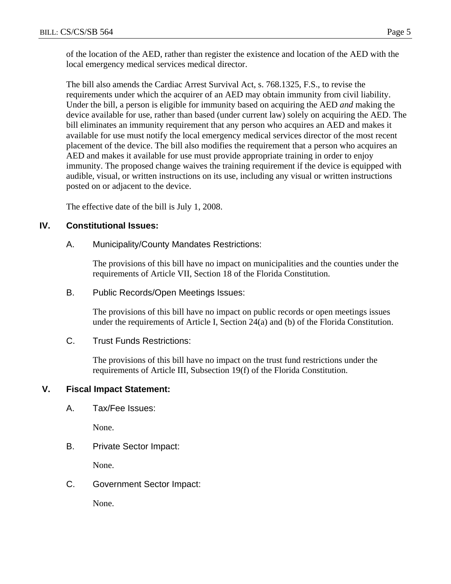of the location of the AED, rather than register the existence and location of the AED with the local emergency medical services medical director.

The bill also amends the Cardiac Arrest Survival Act, s. 768.1325, F.S., to revise the requirements under which the acquirer of an AED may obtain immunity from civil liability. Under the bill, a person is eligible for immunity based on acquiring the AED *and* making the device available for use, rather than based (under current law) solely on acquiring the AED. The bill eliminates an immunity requirement that any person who acquires an AED and makes it available for use must notify the local emergency medical services director of the most recent placement of the device. The bill also modifies the requirement that a person who acquires an AED and makes it available for use must provide appropriate training in order to enjoy immunity. The proposed change waives the training requirement if the device is equipped with audible, visual, or written instructions on its use, including any visual or written instructions posted on or adjacent to the device.

The effective date of the bill is July 1, 2008.

# **IV. Constitutional Issues:**

A. Municipality/County Mandates Restrictions:

The provisions of this bill have no impact on municipalities and the counties under the requirements of Article VII, Section 18 of the Florida Constitution.

B. Public Records/Open Meetings Issues:

The provisions of this bill have no impact on public records or open meetings issues under the requirements of Article I, Section 24(a) and (b) of the Florida Constitution.

C. Trust Funds Restrictions:

The provisions of this bill have no impact on the trust fund restrictions under the requirements of Article III, Subsection 19(f) of the Florida Constitution.

# **V. Fiscal Impact Statement:**

A. Tax/Fee Issues:

None.

B. Private Sector Impact:

None.

C. Government Sector Impact:

None.